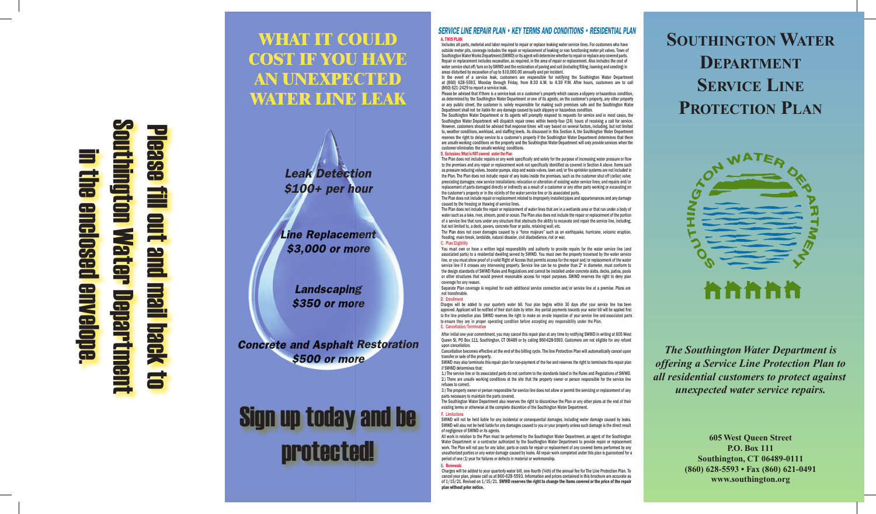## Southington Water Department Please fill out and mail back to **Base** in the enclosed envelope. n the enclosed ington Water fill out and **BUNBIODB** mail back Departm

### **WHAT IT COULD COST IF YOU HAVE AN UNEXPECTED WATER LINE LEAK**



Line Replacement \$3,000 or more

Landscaping **\$350 or more** 

Concrete and Asphalt Restoration \$500 or more

# Sign up today and be protected!

#### SERVICE LINE REPAIR PLAN • KEY TERMS AND CONDITIONS • RESIDENTIAL PLAN A. THIS PLAN

Includes all parts, material and labor required to repair or replace leaking water service lines. For customers who have outside meter pits, coverage includes the repair or replacement of leaking or non functioning meter pit valves. Town of Southington Water Works Department (SWWD) or its agent will determine whether to repair or replace any covered parts. Repair or replacement includes excavation, as required, in the area of repair or replacement. Also includes the cost of water service shut off/turn on by SWWD and the restoration of paving and soil (including filling, loaming and seeding) in areas disturbed by excavation of up to \$10,000.00 annually and per incident.

In the event of a service leak, customers are responsible for notifying the Southington Water Department 628-5593, Monday through Friday, from 8:30 A.M. to 4:30 P.M. After hours, customers are to call (860) 621-2429 to at (860) 628-5593, Monday through Friday, from 8:30 A.M. to 4:30 P.M. After hours, customers are to call  $(860)$   $621-2429$  to report a service leak.

Please be advised that if there is a service leak on a customer's property which causes a slippery or hazardous condition, as determined by the Southington Water Department or one of its agents, on the customer's property, any other property or any public street, the customer is solely responsible for making such premises safe and the Southington Water Department shall not be liable for any damage caused by such slippery or hazardous condition.

The Southington Water Department or its agents will promptly respond to requests for service and in most cases, the Southington Water Department will dispatch repair crews within twenty-four (24) hours of receiving a call for service. However, customers should be advised that response times will vary based on several factors, including, but not limited to, weather conditions, workload, and staffing levels. As discussed in this Section A, the Southington Water Department reserves the right to delay service to a customer's property if the Southington Water Department determines that there are unsafe working conditions on the property and the Southington Water Department will only provide services when the customer eliminates the unsafe working conditions.

#### B. Exclusions: What is NOT covered under the Plan

The Plan does not include: repairs or any work specifically and solely for the purpose of increasing water pressure or flow to the premises and any repair or replacement work not specifically identified as covered in Section A above. Items such as pressure reducing valves, booster pumps, stop and waste valves, lawn and/or fire sprinkler systems are not included in the Plan. The Plan does not include: repair of any leaks inside the premises, such as the customer shut off (cellar) valve; preexisting damages; new service installations; relocation or alteration of existing water service lines; and repairs and/or replacement of parts damaged directly or indirectly as a result of a customer or any other party working or excavating on the customer's property or in the vicinity of the water service line or its associated parts.

The Plan does not include repair or replacement related to improperly installed pipes and appurtenances and any damage caused by the freezing or thawing of service lines.

The Plan does not include the repair or replacement of water lines that are in a wetlands area or that run under a body of water such as a lake, river, stream, pond or ocean. The Plan also does not include the repair or replacement of the portion of a service line that runs under any structure that obstructs the ability to excavate and repair the service line, including, but not limited to, a deck, pavers, concrete floor or patio, retaining wall, etc.

The Plan does not cover damages caused by a "force majeure" such as an earthquake, hurricane, volcanic eruption, flooding, main break, landslide, natural disaster, civil disobedience, riot or war.

#### C. Plan Eligibility

You must own or have a written legal responsibility and authority to provide repairs for the water service line (and associated parts) to a residential dwelling served by SWWD. You must own the property traversed by the water service line, or you must show proof of a valid Right of Access that permits access for the repair and/or replacement of the water service line if it crosses any intervening property. Service line can be no greater than 2" in diameter, must conform to the design standards of SWWD Rules and Regulations and cannot be installed under concrete slabs, decks, patios, pools or other structures that would prevent reasonable access for repair purposes. SWWD reserves the right to deny plan coverage for any reason.

Separate Plan coverage is required for each additional service connection and/or service line at a premise. Plans are not transferable.

#### D. Enrollment

Charges will be added to your quarterly water bill. Your plan begins within 30 days after your service line has been approved. Applicant will be notified of their start date by letter. Any partial payments towards your water bill will be applied first to the line protection plan. SWWD reserves the right to make an on-site inspection of your service line and associated parts to ensure they are in proper operating condition before accepting any responsibility under the Plan. E. Cancellation/Termination

After initial one year commitment, you may cancel this repair plan at any time by notifying SWWD in writing at 605 West Queen St, PO Box 111, Southington, CT 06489 or by calling 860-628-5593. Customers are not eligible for any refund upon cancellation.

Cancellation becomes effective at the end of the billing cycle. The line Protection Plan will automatically cancel upon transfer or sale of the property. transfer or sale of the property.

SWWD may also terminate this repair plan for non-payment of the fee and reserves the right to terminate this repair plan if SWWD determines that:

1.) The service line or its associated parts do not conform to the standards listed in the Rules and Regulations of SWWD. 2.) There are unsafe working conditions at the site that the property owner or person responsible for the service line refuses to correct.

3.) The property owner or person responsible for service line does not allow or permit the servicing or replacement of any parts necessary to maintain the parts covered.

The Southington Water Department also reserves the right to discontinue the Plan or any other plans at the end of their existing terms or otherwise at the complete discretion of the Southington Water Department.

#### F. Limitations

SWWD will not be held liable for any incidental or consequential damages, including water damage caused by leaks. SWWD will also not be held liable for any damages caused to you or your property unless such damage is the direct result of negligence of SWWD or its agents.

All work in relation to the Plan must be performed by the Southington Water Department, an agent of the Southington Water Department or a contractor authorized by the Southington Water Department to provide repair or replacement work. The Plan will not pay for any labor, parts or costs for repair or replacement of any covered items performed by any unauthorized parties or any water damage caused by leaks. All repair work completed under this plan is guaranteed for a period of one (1) year for failures or defects in material or workmanship.

#### G. Renewals

Charges will be added to your quarterly water bill, one-fourth (¼th) of the annual fee for The Line Protection Plan. To Charges will be added to your quarterly water bill, one-fourth (¼th) of the annual fee for The Line Protection Plan. To<br>cancel your plan, please call us at 860-628-5593. Information and prices contained in this brochure ar of 1/15/21. Revised on 1/15/21. SWWD reserves the right to change the items covered or the price of the repair<br>plan without prior notice. plan without prior notice.

## **SOUTHINGTON WATER DEPARTMENT SERVICE LINE PROTECTION PLAN**



*The Southington Water Department is offering a Service Line Protection Plan to all residential customers to protect against unexpected water service repairs.*

> **605 West Queen Street P.O. Box 111 Southington, CT 06489-0111 (860) 628-5593 • Fax (860) 621-0491 www.southington.org**